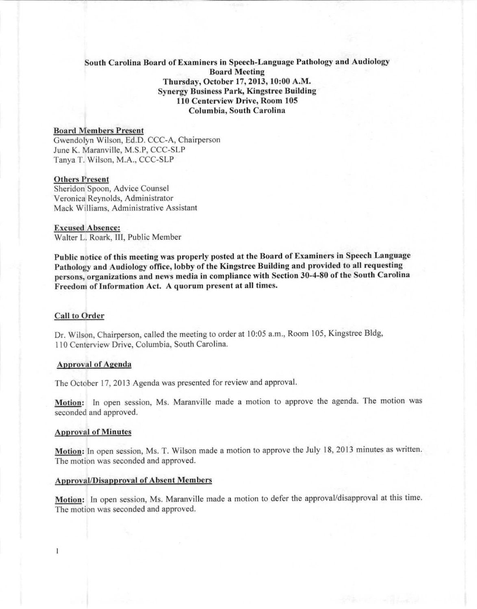# South Carolina Board of Examiners in Speech-Language Pathology and Audiology Board Meeting Thursday, October 17, 2013, 10:00 A.M. Synergy Business Park, Kingstree Building 110 Centerview Drive, Room 105 Columbia, South Carolina

# Board Memhers Present

Gwendolyn Wilson, Ed.D. CCC-A, Chairperson June K. Maranville, M.S.P, CCC-SLP Tanya T. Wilson, M.A., CCC-SLP

## Others Present

Sheridon Spoon, Advice Counsel Veronica Reynolds, Administrator Mack Williams, Administrative Assistant

#### Excused Ahsence: Walter L. Roark, III, Public Member

Public notice of this meeting was properly posted at the Board of Examiners in Speech Language Pathology and Audiology office, lobby of the Kingstree Building and provided to all requesting persons, organizations and news media in compliance with Section 30-4-80 of the South Carolina Freedom of Information Act, A quorum present at all times,

## Call to Order

Dr. Wilson, Chairperson, called the meeting to order at 10:05 a.m., Room 105, Kingstree Bldg, 110 Centerview Drive, Columbia, South Carolina.

## Approval of Agenda

The October 17, 2013 Agenda was presented for review and approval.

Motion: In open session, Ms. Maranville made a motion to approve the agenda. The motion was seconded and approved.

## Approval of Minutes

 $\mathbf{I}$ 

Motion: In open session, Ms. T. Wilson made a motion to approve the July 18,2013 minutes as written. The motion was seconded and approved.

## Approval/Disapproval of Ahsent Memhers

Motion: In open session, Ms. Maranville made a motion to defer the approval/disapproval at this time. The motion was seconded and approved,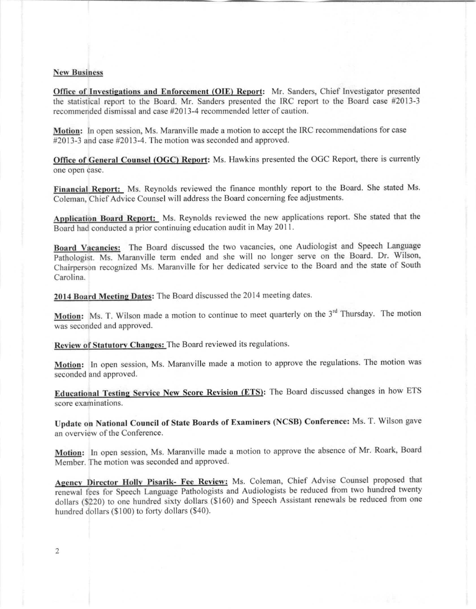## **New Business**

Office of Investigations and Enforcement (OIE) Report: Mr. Sanders, Chief Investigator presented the statistical report to the Board. Mr. Sanders presented the IRC report to the Board case #2013-3 recommended dismissal and case #2013-4 recommended letter of caution.

Motion: In open session, Ms. Maranville made a motion to accept the IRC recommendations for case #2013-3 and case #2013-4. The motion was seconded and approved.

Office of General Counsel (OGC) Report: Ms. Hawkins presented the OGC Report, there is currently one open case.

Financial Report: Ms. Reynolds reviewed the finance monthly report to the Board. She stated Ms. Coleman, Chief Advice Counsel will address the Board concerning fee adjustments.

Application Board Report: Ms. Reynolds reviewed the new applications report. She stated that the Board had conducted a prior continuing education audit in May 20 II.

Board Vacancies: The Board discussed the two vacancies, one Audiologist and Speech Language Pathologist. Ms. Maranville term ended and she will no longer serve on the Board. Dr. Wilson, Chairperson recognized Ms. Maranville for her dedicated service to the Board and the state of South Carolina.

2014 Board Meeting Dates: The Board discussed the 2014 meeting dates.

**Motion:** Ms. T. Wilson made a motion to continue to meet quarterly on the  $3<sup>rd</sup>$  Thursday. The motion was seconded and approved.

Review of Statutory Changes: The Board reviewed its regulations.

Motion: In open session, Ms. Maranville made a motion to approve the regulations. The motion was seconded and approved.

Educational Testing Service New Score Revision (ETS): The Board discussed changes in how ETS **score examinations.**

Update on National Council of State Boards of Examiners (NCSB) Conference: Ms. T. Wilson gave an overview of the Conference.

Motion: In open session, Ms. Maranville made a motion to approve the absence of Mr. Roark, Board Member. The motion was seconded and approved.

Agency Director Holly Pisarik- Fee Review: Ms. Coleman, Chief Advise Counsel proposed that renewal fees for Speech Language Pathologists and Audiologists be reduced from two hundred twenty dollars (\$220) to one hundred sixty dollars (\$160) and Speech Assistant renewals be reduced from one hundred dollars (\$100) to forty dollars (\$40).